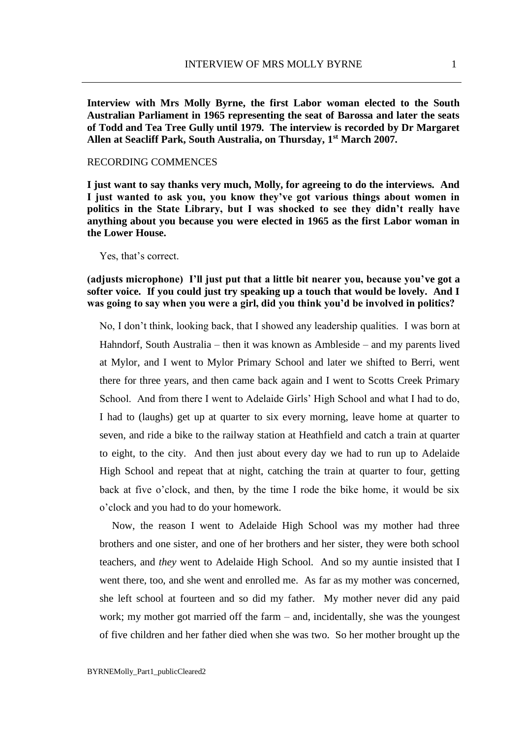**Interview with Mrs Molly Byrne, the first Labor woman elected to the South Australian Parliament in 1965 representing the seat of Barossa and later the seats of Todd and Tea Tree Gully until 1979. The interview is recorded by Dr Margaret Allen at Seacliff Park, South Australia, on Thursday, 1st March 2007.** 

### RECORDING COMMENCES

**I just want to say thanks very much, Molly, for agreeing to do the interviews. And I just wanted to ask you, you know they've got various things about women in politics in the State Library, but I was shocked to see they didn't really have anything about you because you were elected in 1965 as the first Labor woman in the Lower House.**

Yes, that's correct.

# **(adjusts microphone) I'll just put that a little bit nearer you, because you've got a softer voice. If you could just try speaking up a touch that would be lovely. And I was going to say when you were a girl, did you think you'd be involved in politics?**

No, I don't think, looking back, that I showed any leadership qualities. I was born at Hahndorf, South Australia – then it was known as Ambleside – and my parents lived at Mylor, and I went to Mylor Primary School and later we shifted to Berri, went there for three years, and then came back again and I went to Scotts Creek Primary School. And from there I went to Adelaide Girls' High School and what I had to do, I had to (laughs) get up at quarter to six every morning, leave home at quarter to seven, and ride a bike to the railway station at Heathfield and catch a train at quarter to eight, to the city. And then just about every day we had to run up to Adelaide High School and repeat that at night, catching the train at quarter to four, getting back at five o'clock, and then, by the time I rode the bike home, it would be six o'clock and you had to do your homework.

Now, the reason I went to Adelaide High School was my mother had three brothers and one sister, and one of her brothers and her sister, they were both school teachers, and *they* went to Adelaide High School. And so my auntie insisted that I went there, too, and she went and enrolled me. As far as my mother was concerned, she left school at fourteen and so did my father. My mother never did any paid work; my mother got married off the farm – and, incidentally, she was the youngest of five children and her father died when she was two. So her mother brought up the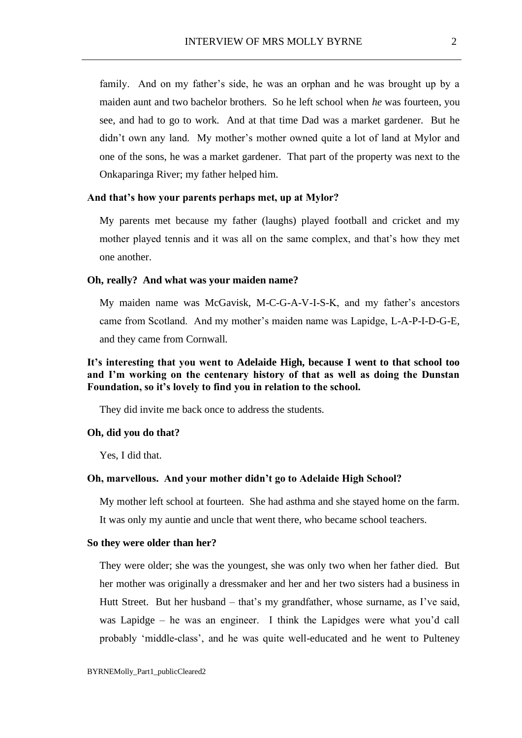family. And on my father's side, he was an orphan and he was brought up by a maiden aunt and two bachelor brothers. So he left school when *he* was fourteen, you see, and had to go to work. And at that time Dad was a market gardener. But he didn't own any land. My mother's mother owned quite a lot of land at Mylor and one of the sons, he was a market gardener. That part of the property was next to the Onkaparinga River; my father helped him.

## **And that's how your parents perhaps met, up at Mylor?**

My parents met because my father (laughs) played football and cricket and my mother played tennis and it was all on the same complex, and that's how they met one another.

#### **Oh, really? And what was your maiden name?**

My maiden name was McGavisk, M-C-G-A-V-I-S-K, and my father's ancestors came from Scotland. And my mother's maiden name was Lapidge, L-A-P-I-D-G-E, and they came from Cornwall.

# **It's interesting that you went to Adelaide High, because I went to that school too and I'm working on the centenary history of that as well as doing the Dunstan Foundation, so it's lovely to find you in relation to the school.**

They did invite me back once to address the students.

#### **Oh, did you do that?**

Yes, I did that.

#### **Oh, marvellous. And your mother didn't go to Adelaide High School?**

My mother left school at fourteen. She had asthma and she stayed home on the farm. It was only my auntie and uncle that went there, who became school teachers.

### **So they were older than her?**

They were older; she was the youngest, she was only two when her father died. But her mother was originally a dressmaker and her and her two sisters had a business in Hutt Street. But her husband – that's my grandfather, whose surname, as I've said, was Lapidge – he was an engineer. I think the Lapidges were what you'd call probably 'middle-class', and he was quite well-educated and he went to Pulteney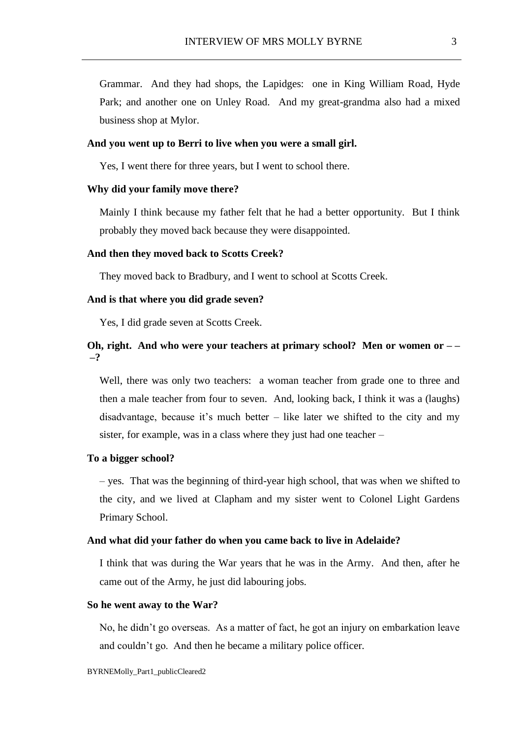Grammar. And they had shops, the Lapidges: one in King William Road, Hyde Park; and another one on Unley Road. And my great-grandma also had a mixed business shop at Mylor.

### **And you went up to Berri to live when you were a small girl.**

Yes, I went there for three years, but I went to school there.

## **Why did your family move there?**

Mainly I think because my father felt that he had a better opportunity. But I think probably they moved back because they were disappointed.

### **And then they moved back to Scotts Creek?**

They moved back to Bradbury, and I went to school at Scotts Creek.

#### **And is that where you did grade seven?**

Yes, I did grade seven at Scotts Creek.

# **Oh, right. And who were your teachers at primary school? Men or women or – – –?**

Well, there was only two teachers: a woman teacher from grade one to three and then a male teacher from four to seven. And, looking back, I think it was a (laughs) disadvantage, because it's much better – like later we shifted to the city and my sister, for example, was in a class where they just had one teacher –

## **To a bigger school?**

– yes. That was the beginning of third-year high school, that was when we shifted to the city, and we lived at Clapham and my sister went to Colonel Light Gardens Primary School.

### **And what did your father do when you came back to live in Adelaide?**

I think that was during the War years that he was in the Army. And then, after he came out of the Army, he just did labouring jobs.

#### **So he went away to the War?**

No, he didn't go overseas. As a matter of fact, he got an injury on embarkation leave and couldn't go. And then he became a military police officer.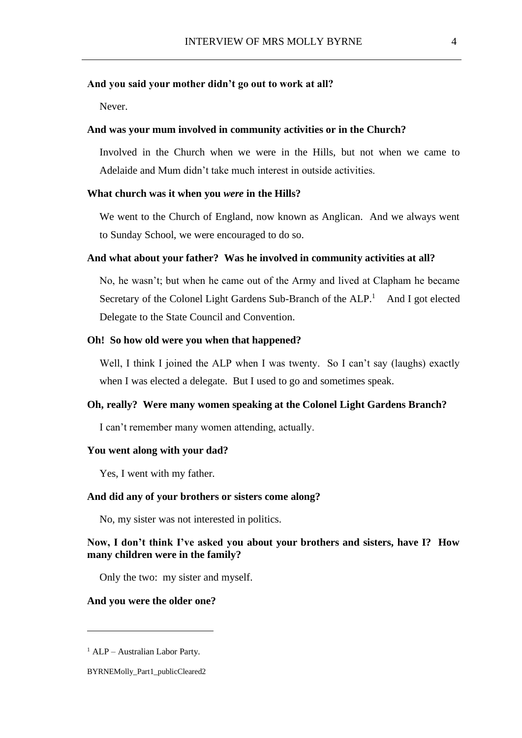### **And you said your mother didn't go out to work at all?**

Never.

## **And was your mum involved in community activities or in the Church?**

Involved in the Church when we were in the Hills, but not when we came to Adelaide and Mum didn't take much interest in outside activities.

#### **What church was it when you** *were* **in the Hills?**

We went to the Church of England, now known as Anglican. And we always went to Sunday School, we were encouraged to do so.

#### **And what about your father? Was he involved in community activities at all?**

No, he wasn't; but when he came out of the Army and lived at Clapham he became Secretary of the Colonel Light Gardens Sub-Branch of the  $ALP<sup>1</sup>$  And I got elected Delegate to the State Council and Convention.

## **Oh! So how old were you when that happened?**

Well, I think I joined the ALP when I was twenty. So I can't say (laughs) exactly when I was elected a delegate. But I used to go and sometimes speak.

## **Oh, really? Were many women speaking at the Colonel Light Gardens Branch?**

I can't remember many women attending, actually.

### **You went along with your dad?**

Yes, I went with my father.

### **And did any of your brothers or sisters come along?**

No, my sister was not interested in politics.

## **Now, I don't think I've asked you about your brothers and sisters, have I? How many children were in the family?**

Only the two: my sister and myself.

## **And you were the older one?**

<sup>1</sup> ALP – Australian Labor Party.

BYRNEMolly\_Part1\_publicCleared2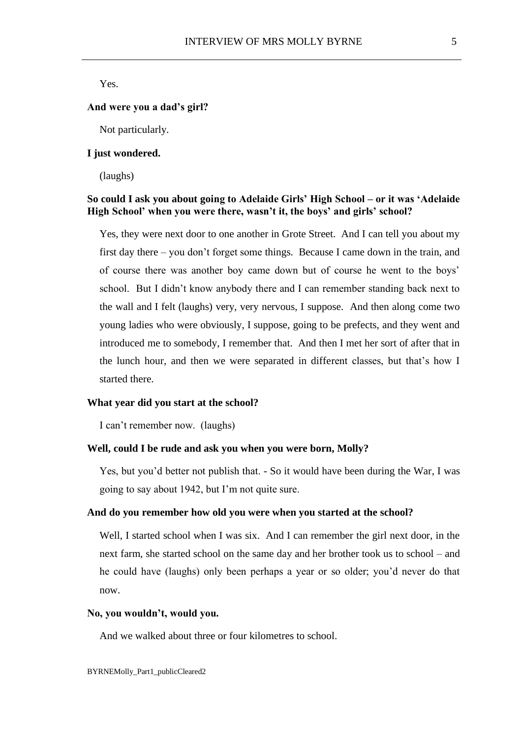Yes.

#### **And were you a dad's girl?**

Not particularly.

## **I just wondered.**

(laughs)

# **So could I ask you about going to Adelaide Girls' High School – or it was 'Adelaide High School' when you were there, wasn't it, the boys' and girls' school?**

Yes, they were next door to one another in Grote Street. And I can tell you about my first day there – you don't forget some things. Because I came down in the train, and of course there was another boy came down but of course he went to the boys' school. But I didn't know anybody there and I can remember standing back next to the wall and I felt (laughs) very, very nervous, I suppose. And then along come two young ladies who were obviously, I suppose, going to be prefects, and they went and introduced me to somebody, I remember that. And then I met her sort of after that in the lunch hour, and then we were separated in different classes, but that's how I started there.

#### **What year did you start at the school?**

I can't remember now. (laughs)

### **Well, could I be rude and ask you when you were born, Molly?**

Yes, but you'd better not publish that. - So it would have been during the War, I was going to say about 1942, but I'm not quite sure.

## **And do you remember how old you were when you started at the school?**

Well, I started school when I was six. And I can remember the girl next door, in the next farm, she started school on the same day and her brother took us to school – and he could have (laughs) only been perhaps a year or so older; you'd never do that now.

### **No, you wouldn't, would you.**

And we walked about three or four kilometres to school.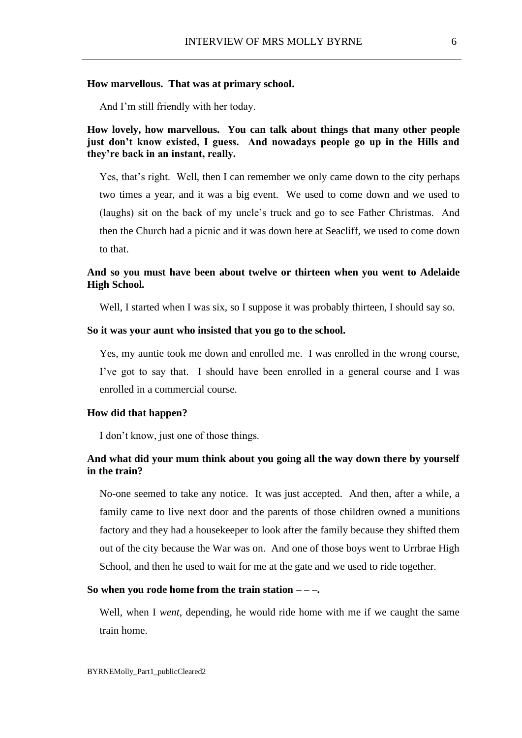### **How marvellous. That was at primary school.**

And I'm still friendly with her today.

# **How lovely, how marvellous. You can talk about things that many other people just don't know existed, I guess. And nowadays people go up in the Hills and they're back in an instant, really.**

Yes, that's right. Well, then I can remember we only came down to the city perhaps two times a year, and it was a big event. We used to come down and we used to (laughs) sit on the back of my uncle's truck and go to see Father Christmas. And then the Church had a picnic and it was down here at Seacliff, we used to come down to that.

# **And so you must have been about twelve or thirteen when you went to Adelaide High School.**

Well, I started when I was six, so I suppose it was probably thirteen, I should say so.

### **So it was your aunt who insisted that you go to the school.**

Yes, my auntie took me down and enrolled me. I was enrolled in the wrong course, I've got to say that. I should have been enrolled in a general course and I was enrolled in a commercial course.

#### **How did that happen?**

I don't know, just one of those things.

# **And what did your mum think about you going all the way down there by yourself in the train?**

No-one seemed to take any notice. It was just accepted. And then, after a while, a family came to live next door and the parents of those children owned a munitions factory and they had a housekeeper to look after the family because they shifted them out of the city because the War was on. And one of those boys went to Urrbrae High School, and then he used to wait for me at the gate and we used to ride together.

### **So when you rode home from the train station – – –.**

Well, when I *went*, depending, he would ride home with me if we caught the same train home.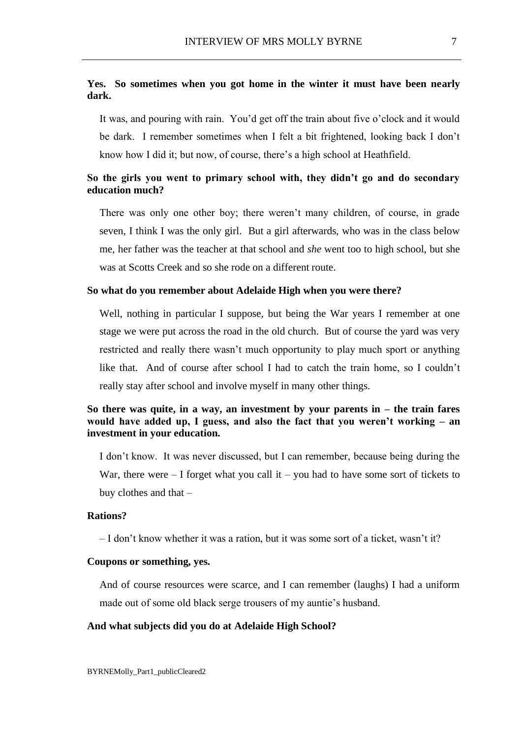# **Yes. So sometimes when you got home in the winter it must have been nearly dark.**

It was, and pouring with rain. You'd get off the train about five o'clock and it would be dark. I remember sometimes when I felt a bit frightened, looking back I don't know how I did it; but now, of course, there's a high school at Heathfield.

# **So the girls you went to primary school with, they didn't go and do secondary education much?**

There was only one other boy; there weren't many children, of course, in grade seven, I think I was the only girl. But a girl afterwards, who was in the class below me, her father was the teacher at that school and *she* went too to high school, but she was at Scotts Creek and so she rode on a different route.

### **So what do you remember about Adelaide High when you were there?**

Well, nothing in particular I suppose, but being the War years I remember at one stage we were put across the road in the old church. But of course the yard was very restricted and really there wasn't much opportunity to play much sport or anything like that. And of course after school I had to catch the train home, so I couldn't really stay after school and involve myself in many other things.

# **So there was quite, in a way, an investment by your parents in – the train fares would have added up, I guess, and also the fact that you weren't working – an investment in your education.**

I don't know. It was never discussed, but I can remember, because being during the War, there were  $-1$  forget what you call it  $-$  you had to have some sort of tickets to buy clothes and that –

# **Rations?**

– I don't know whether it was a ration, but it was some sort of a ticket, wasn't it?

## **Coupons or something, yes.**

And of course resources were scarce, and I can remember (laughs) I had a uniform made out of some old black serge trousers of my auntie's husband.

#### **And what subjects did you do at Adelaide High School?**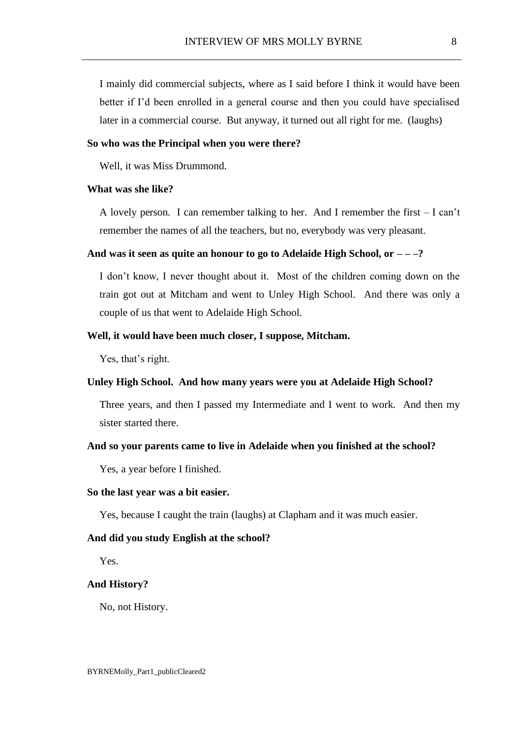I mainly did commercial subjects, where as I said before I think it would have been better if I'd been enrolled in a general course and then you could have specialised later in a commercial course. But anyway, it turned out all right for me. (laughs)

### **So who was the Principal when you were there?**

Well, it was Miss Drummond.

## **What was she like?**

A lovely person. I can remember talking to her. And I remember the first – I can't remember the names of all the teachers, but no, everybody was very pleasant.

## **And was it seen as quite an honour to go to Adelaide High School, or – – –?**

I don't know, I never thought about it. Most of the children coming down on the train got out at Mitcham and went to Unley High School. And there was only a couple of us that went to Adelaide High School.

## **Well, it would have been much closer, I suppose, Mitcham.**

Yes, that's right.

## **Unley High School. And how many years were you at Adelaide High School?**

Three years, and then I passed my Intermediate and I went to work. And then my sister started there.

### **And so your parents came to live in Adelaide when you finished at the school?**

Yes, a year before I finished.

#### **So the last year was a bit easier.**

Yes, because I caught the train (laughs) at Clapham and it was much easier.

#### **And did you study English at the school?**

Yes.

## **And History?**

No, not History.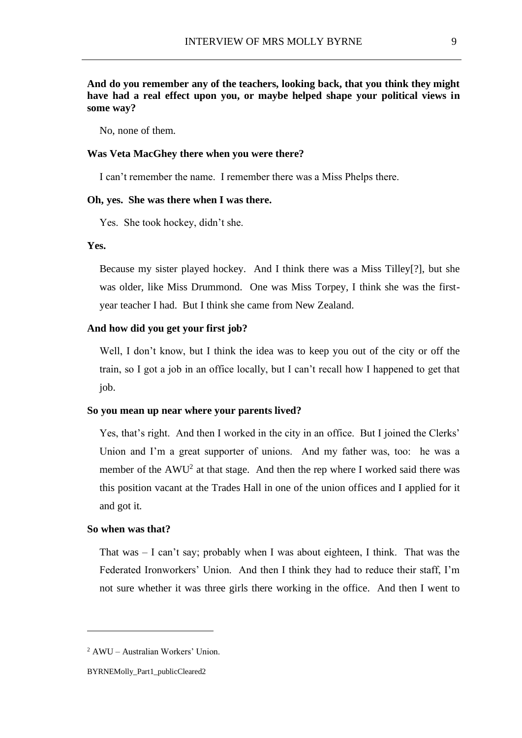No, none of them.

## **Was Veta MacGhey there when you were there?**

I can't remember the name. I remember there was a Miss Phelps there.

## **Oh, yes. She was there when I was there.**

Yes. She took hockey, didn't she.

## **Yes.**

Because my sister played hockey. And I think there was a Miss Tilley[?], but she was older, like Miss Drummond. One was Miss Torpey, I think she was the firstyear teacher I had. But I think she came from New Zealand.

### **And how did you get your first job?**

Well, I don't know, but I think the idea was to keep you out of the city or off the train, so I got a job in an office locally, but I can't recall how I happened to get that job.

## **So you mean up near where your parents lived?**

Yes, that's right. And then I worked in the city in an office. But I joined the Clerks' Union and I'm a great supporter of unions. And my father was, too: he was a member of the  $AWU^2$  at that stage. And then the rep where I worked said there was this position vacant at the Trades Hall in one of the union offices and I applied for it and got it.

#### **So when was that?**

That was – I can't say; probably when I was about eighteen, I think. That was the Federated Ironworkers' Union. And then I think they had to reduce their staff, I'm not sure whether it was three girls there working in the office. And then I went to

<sup>2</sup> AWU – Australian Workers' Union.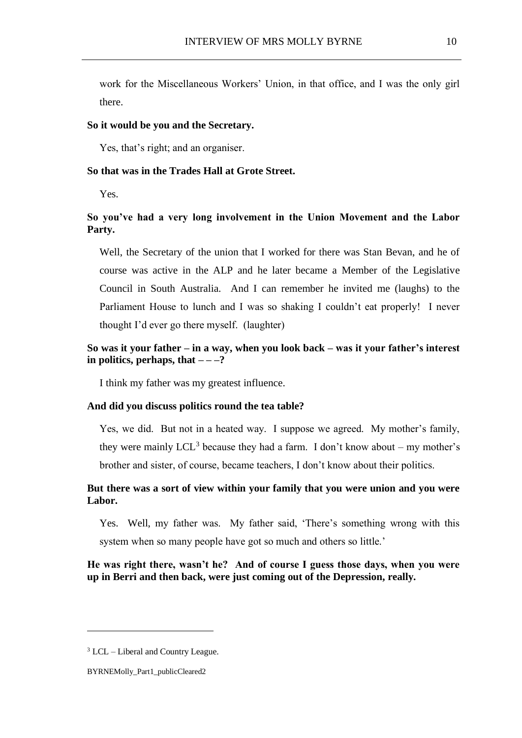work for the Miscellaneous Workers' Union, in that office, and I was the only girl there.

#### **So it would be you and the Secretary.**

Yes, that's right; and an organiser.

### **So that was in the Trades Hall at Grote Street.**

Yes.

# **So you've had a very long involvement in the Union Movement and the Labor Party.**

Well, the Secretary of the union that I worked for there was Stan Bevan, and he of course was active in the ALP and he later became a Member of the Legislative Council in South Australia. And I can remember he invited me (laughs) to the Parliament House to lunch and I was so shaking I couldn't eat properly! I never thought I'd ever go there myself. (laughter)

# **So was it your father – in a way, when you look back – was it your father's interest in politics, perhaps, that**  $-\frac{2}{3}$

I think my father was my greatest influence.

#### **And did you discuss politics round the tea table?**

Yes, we did. But not in a heated way. I suppose we agreed. My mother's family, they were mainly  $LCL<sup>3</sup>$  because they had a farm. I don't know about – my mother's brother and sister, of course, became teachers, I don't know about their politics.

# **But there was a sort of view within your family that you were union and you were Labor.**

Yes. Well, my father was. My father said, 'There's something wrong with this system when so many people have got so much and others so little.'

# **He was right there, wasn't he? And of course I guess those days, when you were up in Berri and then back, were just coming out of the Depression, really.**

 $3$  LCL – Liberal and Country League.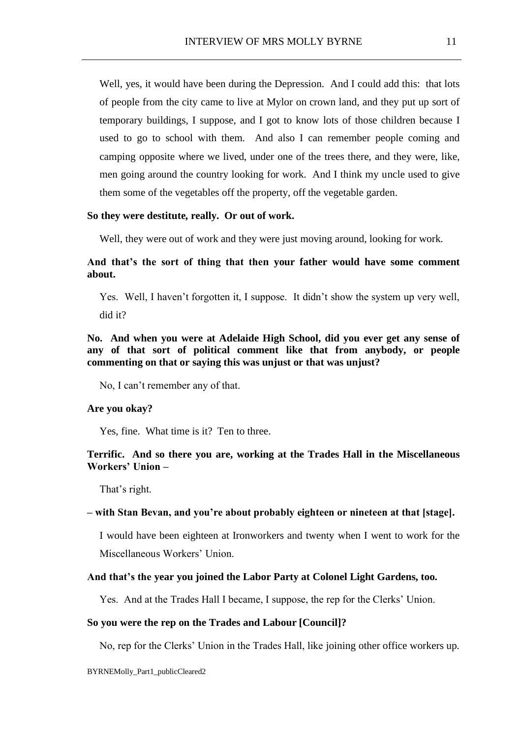Well, yes, it would have been during the Depression. And I could add this: that lots of people from the city came to live at Mylor on crown land, and they put up sort of temporary buildings, I suppose, and I got to know lots of those children because I used to go to school with them. And also I can remember people coming and camping opposite where we lived, under one of the trees there, and they were, like, men going around the country looking for work. And I think my uncle used to give them some of the vegetables off the property, off the vegetable garden.

## **So they were destitute, really. Or out of work.**

Well, they were out of work and they were just moving around, looking for work.

# **And that's the sort of thing that then your father would have some comment about.**

Yes. Well, I haven't forgotten it, I suppose. It didn't show the system up very well, did it?

**No. And when you were at Adelaide High School, did you ever get any sense of any of that sort of political comment like that from anybody, or people commenting on that or saying this was unjust or that was unjust?**

No, I can't remember any of that.

## **Are you okay?**

Yes, fine. What time is it? Ten to three.

# **Terrific. And so there you are, working at the Trades Hall in the Miscellaneous Workers' Union –**

That's right.

### **– with Stan Bevan, and you're about probably eighteen or nineteen at that [stage].**

I would have been eighteen at Ironworkers and twenty when I went to work for the Miscellaneous Workers' Union.

## **And that's the year you joined the Labor Party at Colonel Light Gardens, too.**

Yes. And at the Trades Hall I became, I suppose, the rep for the Clerks' Union.

## **So you were the rep on the Trades and Labour [Council]?**

No, rep for the Clerks' Union in the Trades Hall, like joining other office workers up.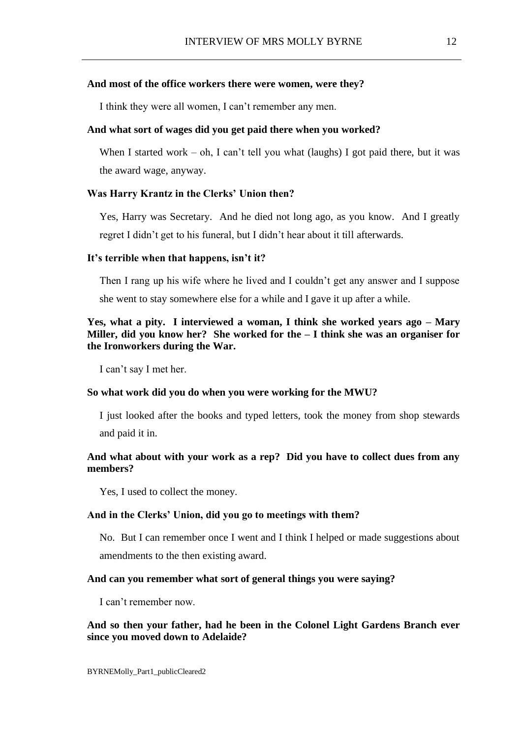### **And most of the office workers there were women, were they?**

I think they were all women, I can't remember any men.

## **And what sort of wages did you get paid there when you worked?**

When I started work – oh, I can't tell you what (laughs) I got paid there, but it was the award wage, anyway.

#### **Was Harry Krantz in the Clerks' Union then?**

Yes, Harry was Secretary. And he died not long ago, as you know. And I greatly regret I didn't get to his funeral, but I didn't hear about it till afterwards.

#### **It's terrible when that happens, isn't it?**

Then I rang up his wife where he lived and I couldn't get any answer and I suppose she went to stay somewhere else for a while and I gave it up after a while.

# **Yes, what a pity. I interviewed a woman, I think she worked years ago – Mary Miller, did you know her? She worked for the – I think she was an organiser for the Ironworkers during the War.**

I can't say I met her.

### **So what work did you do when you were working for the MWU?**

I just looked after the books and typed letters, took the money from shop stewards and paid it in.

# **And what about with your work as a rep? Did you have to collect dues from any members?**

Yes, I used to collect the money.

## **And in the Clerks' Union, did you go to meetings with them?**

No. But I can remember once I went and I think I helped or made suggestions about amendments to the then existing award.

### **And can you remember what sort of general things you were saying?**

I can't remember now.

## **And so then your father, had he been in the Colonel Light Gardens Branch ever since you moved down to Adelaide?**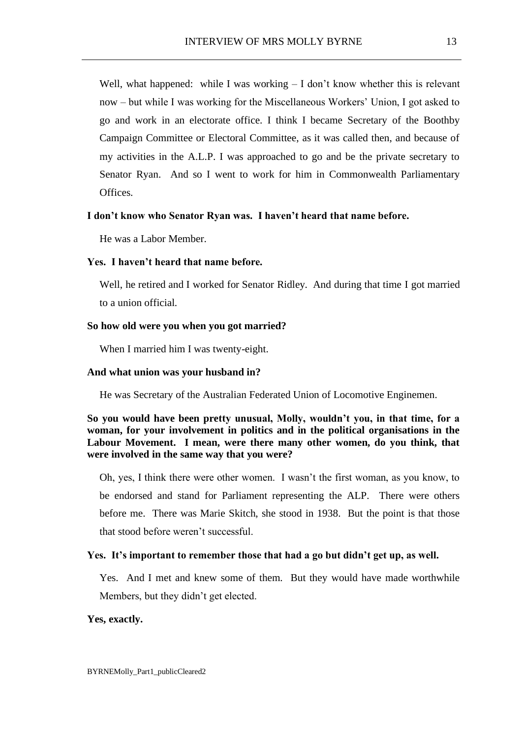Well, what happened: while I was working  $-I$  don't know whether this is relevant now – but while I was working for the Miscellaneous Workers' Union, I got asked to go and work in an electorate office. I think I became Secretary of the Boothby Campaign Committee or Electoral Committee, as it was called then, and because of my activities in the A.L.P. I was approached to go and be the private secretary to Senator Ryan. And so I went to work for him in Commonwealth Parliamentary **Offices** 

## **I don't know who Senator Ryan was. I haven't heard that name before.**

He was a Labor Member.

## **Yes. I haven't heard that name before.**

Well, he retired and I worked for Senator Ridley. And during that time I got married to a union official.

## **So how old were you when you got married?**

When I married him I was twenty-eight.

### **And what union was your husband in?**

He was Secretary of the Australian Federated Union of Locomotive Enginemen.

# **So you would have been pretty unusual, Molly, wouldn't you, in that time, for a woman, for your involvement in politics and in the political organisations in the Labour Movement. I mean, were there many other women, do you think, that were involved in the same way that you were?**

Oh, yes, I think there were other women. I wasn't the first woman, as you know, to be endorsed and stand for Parliament representing the ALP. There were others before me. There was Marie Skitch, she stood in 1938. But the point is that those that stood before weren't successful.

#### **Yes. It's important to remember those that had a go but didn't get up, as well.**

Yes. And I met and knew some of them. But they would have made worthwhile Members, but they didn't get elected.

### **Yes, exactly.**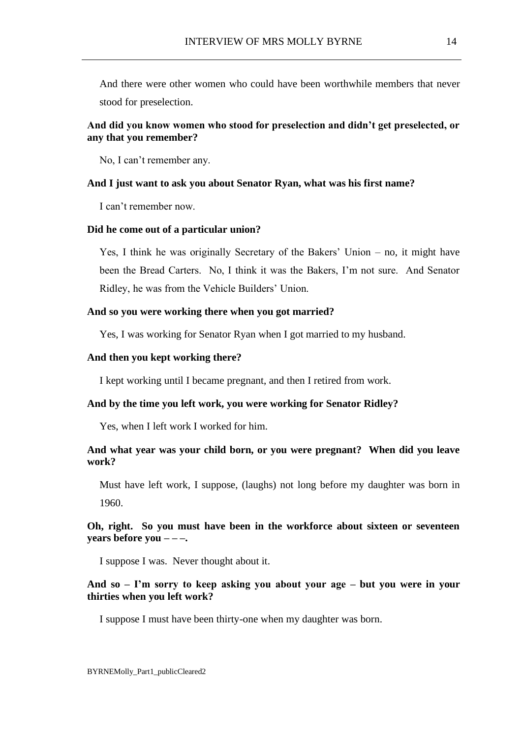And there were other women who could have been worthwhile members that never stood for preselection.

## **And did you know women who stood for preselection and didn't get preselected, or any that you remember?**

No, I can't remember any.

#### **And I just want to ask you about Senator Ryan, what was his first name?**

I can't remember now.

## **Did he come out of a particular union?**

Yes, I think he was originally Secretary of the Bakers' Union – no, it might have been the Bread Carters. No, I think it was the Bakers, I'm not sure. And Senator Ridley, he was from the Vehicle Builders' Union.

## **And so you were working there when you got married?**

Yes, I was working for Senator Ryan when I got married to my husband.

### **And then you kept working there?**

I kept working until I became pregnant, and then I retired from work.

## **And by the time you left work, you were working for Senator Ridley?**

Yes, when I left work I worked for him.

## **And what year was your child born, or you were pregnant? When did you leave work?**

Must have left work, I suppose, (laughs) not long before my daughter was born in 1960.

## **Oh, right. So you must have been in the workforce about sixteen or seventeen years before you – – –.**

I suppose I was. Never thought about it.

# **And so – I'm sorry to keep asking you about your age – but you were in your thirties when you left work?**

I suppose I must have been thirty-one when my daughter was born.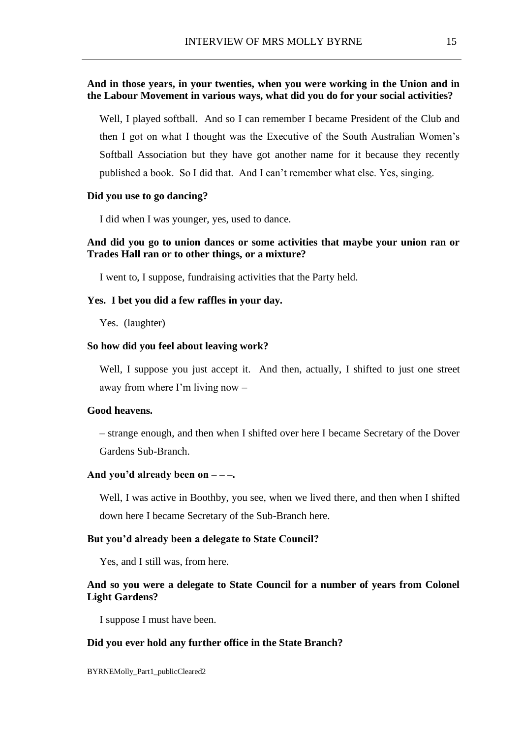# **And in those years, in your twenties, when you were working in the Union and in the Labour Movement in various ways, what did you do for your social activities?**

Well, I played softball. And so I can remember I became President of the Club and then I got on what I thought was the Executive of the South Australian Women's Softball Association but they have got another name for it because they recently published a book. So I did that. And I can't remember what else. Yes, singing.

### **Did you use to go dancing?**

I did when I was younger, yes, used to dance.

## **And did you go to union dances or some activities that maybe your union ran or Trades Hall ran or to other things, or a mixture?**

I went to, I suppose, fundraising activities that the Party held.

#### **Yes. I bet you did a few raffles in your day.**

Yes. (laughter)

#### **So how did you feel about leaving work?**

Well, I suppose you just accept it. And then, actually, I shifted to just one street away from where I'm living now –

## **Good heavens.**

– strange enough, and then when I shifted over here I became Secretary of the Dover Gardens Sub-Branch.

## **And you'd already been on – – –.**

Well, I was active in Boothby, you see, when we lived there, and then when I shifted down here I became Secretary of the Sub-Branch here.

### **But you'd already been a delegate to State Council?**

Yes, and I still was, from here.

## **And so you were a delegate to State Council for a number of years from Colonel Light Gardens?**

I suppose I must have been.

### **Did you ever hold any further office in the State Branch?**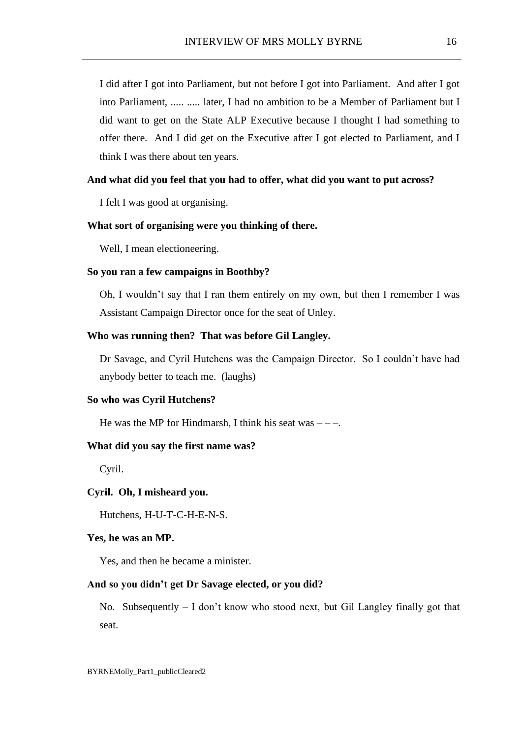I did after I got into Parliament, but not before I got into Parliament. And after I got into Parliament, ..... ..... later, I had no ambition to be a Member of Parliament but I did want to get on the State ALP Executive because I thought I had something to offer there. And I did get on the Executive after I got elected to Parliament, and I think I was there about ten years.

## **And what did you feel that you had to offer, what did you want to put across?**

I felt I was good at organising.

## **What sort of organising were you thinking of there.**

Well, I mean electioneering.

### **So you ran a few campaigns in Boothby?**

Oh, I wouldn't say that I ran them entirely on my own, but then I remember I was Assistant Campaign Director once for the seat of Unley.

## **Who was running then? That was before Gil Langley.**

Dr Savage, and Cyril Hutchens was the Campaign Director. So I couldn't have had anybody better to teach me. (laughs)

### **So who was Cyril Hutchens?**

He was the MP for Hindmarsh, I think his seat was  $---$ .

### **What did you say the first name was?**

Cyril.

### **Cyril. Oh, I misheard you.**

Hutchens, H-U-T-C-H-E-N-S.

#### **Yes, he was an MP.**

Yes, and then he became a minister.

## **And so you didn't get Dr Savage elected, or you did?**

No. Subsequently  $- I$  don't know who stood next, but Gil Langley finally got that seat.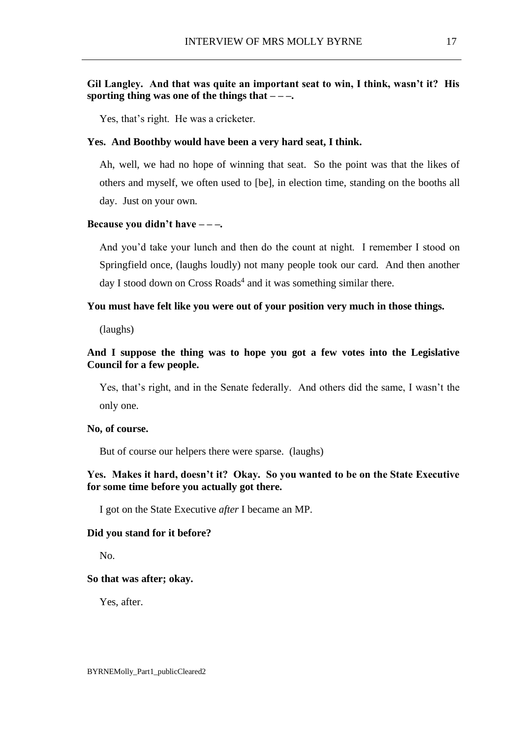# **Gil Langley. And that was quite an important seat to win, I think, wasn't it? His sporting thing was one of the things that – – –.**

Yes, that's right. He was a cricketer.

### **Yes. And Boothby would have been a very hard seat, I think.**

Ah, well, we had no hope of winning that seat. So the point was that the likes of others and myself, we often used to [be], in election time, standing on the booths all day. Just on your own.

#### **Because you didn't have – – –.**

And you'd take your lunch and then do the count at night. I remember I stood on Springfield once, (laughs loudly) not many people took our card. And then another day I stood down on Cross Roads<sup>4</sup> and it was something similar there.

## **You must have felt like you were out of your position very much in those things.**

(laughs)

## **And I suppose the thing was to hope you got a few votes into the Legislative Council for a few people.**

Yes, that's right, and in the Senate federally. And others did the same, I wasn't the only one.

## **No, of course.**

But of course our helpers there were sparse. (laughs)

## **Yes. Makes it hard, doesn't it? Okay. So you wanted to be on the State Executive for some time before you actually got there.**

I got on the State Executive *after* I became an MP.

## **Did you stand for it before?**

No.

### **So that was after; okay.**

Yes, after.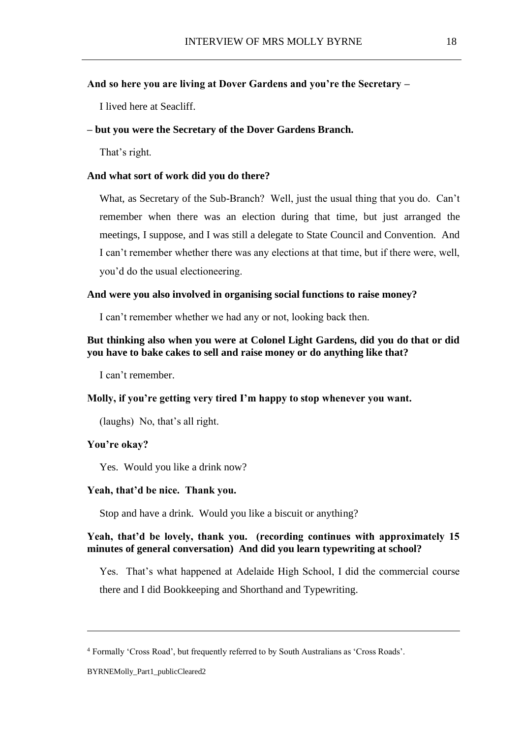## **And so here you are living at Dover Gardens and you're the Secretary –**

I lived here at Seacliff.

## **– but you were the Secretary of the Dover Gardens Branch.**

That's right.

### **And what sort of work did you do there?**

What, as Secretary of the Sub-Branch? Well, just the usual thing that you do. Can't remember when there was an election during that time, but just arranged the meetings, I suppose, and I was still a delegate to State Council and Convention. And I can't remember whether there was any elections at that time, but if there were, well, you'd do the usual electioneering.

## **And were you also involved in organising social functions to raise money?**

I can't remember whether we had any or not, looking back then.

## **But thinking also when you were at Colonel Light Gardens, did you do that or did you have to bake cakes to sell and raise money or do anything like that?**

I can't remember.

## **Molly, if you're getting very tired I'm happy to stop whenever you want.**

(laughs) No, that's all right.

### **You're okay?**

Yes. Would you like a drink now?

#### **Yeah, that'd be nice. Thank you.**

Stop and have a drink. Would you like a biscuit or anything?

## **Yeah, that'd be lovely, thank you. (recording continues with approximately 15 minutes of general conversation) And did you learn typewriting at school?**

Yes. That's what happened at Adelaide High School, I did the commercial course there and I did Bookkeeping and Shorthand and Typewriting.

<sup>4</sup> Formally 'Cross Road', but frequently referred to by South Australians as 'Cross Roads'.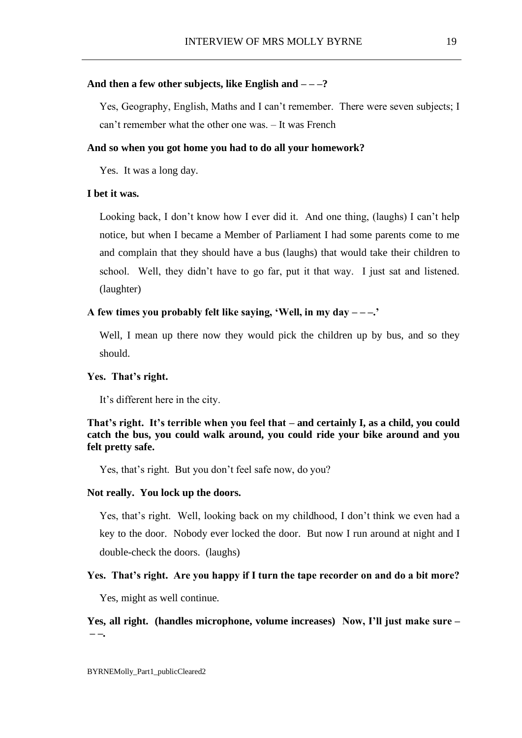### **And then a few other subjects, like English and – – –?**

Yes, Geography, English, Maths and I can't remember. There were seven subjects; I can't remember what the other one was. – It was French

## **And so when you got home you had to do all your homework?**

Yes. It was a long day.

#### **I bet it was.**

Looking back, I don't know how I ever did it. And one thing, (laughs) I can't help notice, but when I became a Member of Parliament I had some parents come to me and complain that they should have a bus (laughs) that would take their children to school. Well, they didn't have to go far, put it that way. I just sat and listened. (laughter)

## **A few times you probably felt like saying, 'Well, in my day – – –.'**

Well, I mean up there now they would pick the children up by bus, and so they should.

#### **Yes. That's right.**

It's different here in the city.

# **That's right. It's terrible when you feel that – and certainly I, as a child, you could catch the bus, you could walk around, you could ride your bike around and you felt pretty safe.**

Yes, that's right. But you don't feel safe now, do you?

## **Not really. You lock up the doors.**

Yes, that's right. Well, looking back on my childhood, I don't think we even had a key to the door. Nobody ever locked the door. But now I run around at night and I double-check the doors. (laughs)

### **Yes. That's right. Are you happy if I turn the tape recorder on and do a bit more?**

Yes, might as well continue.

**Yes, all right. (handles microphone, volume increases) Now, I'll just make sure – – –.**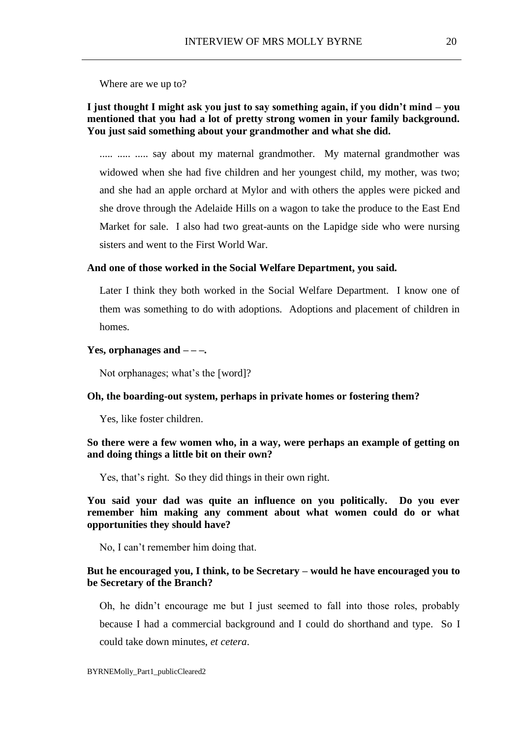Where are we up to?

# **I just thought I might ask you just to say something again, if you didn't mind – you mentioned that you had a lot of pretty strong women in your family background. You just said something about your grandmother and what she did.**

..... ..... ..... say about my maternal grandmother. My maternal grandmother was widowed when she had five children and her youngest child, my mother, was two; and she had an apple orchard at Mylor and with others the apples were picked and she drove through the Adelaide Hills on a wagon to take the produce to the East End Market for sale. I also had two great-aunts on the Lapidge side who were nursing sisters and went to the First World War.

### **And one of those worked in the Social Welfare Department, you said.**

Later I think they both worked in the Social Welfare Department. I know one of them was something to do with adoptions. Adoptions and placement of children in homes.

## **Yes, orphanages and – – –.**

Not orphanages; what's the [word]?

### **Oh, the boarding-out system, perhaps in private homes or fostering them?**

Yes, like foster children.

## **So there were a few women who, in a way, were perhaps an example of getting on and doing things a little bit on their own?**

Yes, that's right. So they did things in their own right.

**You said your dad was quite an influence on you politically. Do you ever remember him making any comment about what women could do or what opportunities they should have?**

No, I can't remember him doing that.

## **But he encouraged you, I think, to be Secretary – would he have encouraged you to be Secretary of the Branch?**

Oh, he didn't encourage me but I just seemed to fall into those roles, probably because I had a commercial background and I could do shorthand and type. So I could take down minutes, *et cetera*.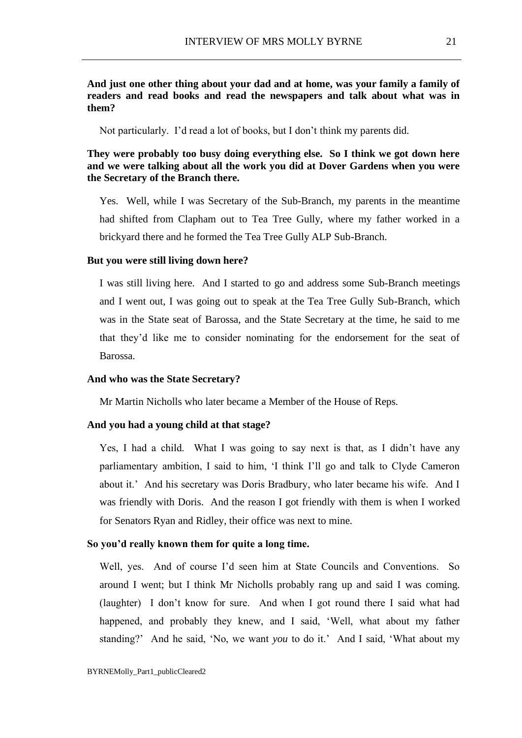# **And just one other thing about your dad and at home, was your family a family of readers and read books and read the newspapers and talk about what was in them?**

Not particularly. I'd read a lot of books, but I don't think my parents did.

**They were probably too busy doing everything else. So I think we got down here and we were talking about all the work you did at Dover Gardens when you were the Secretary of the Branch there.**

Yes. Well, while I was Secretary of the Sub-Branch, my parents in the meantime had shifted from Clapham out to Tea Tree Gully, where my father worked in a brickyard there and he formed the Tea Tree Gully ALP Sub-Branch.

### **But you were still living down here?**

I was still living here. And I started to go and address some Sub-Branch meetings and I went out, I was going out to speak at the Tea Tree Gully Sub-Branch, which was in the State seat of Barossa, and the State Secretary at the time, he said to me that they'd like me to consider nominating for the endorsement for the seat of Barossa.

### **And who was the State Secretary?**

Mr Martin Nicholls who later became a Member of the House of Reps.

#### **And you had a young child at that stage?**

Yes, I had a child. What I was going to say next is that, as I didn't have any parliamentary ambition, I said to him, 'I think I'll go and talk to Clyde Cameron about it.' And his secretary was Doris Bradbury, who later became his wife. And I was friendly with Doris. And the reason I got friendly with them is when I worked for Senators Ryan and Ridley, their office was next to mine.

## **So you'd really known them for quite a long time.**

Well, yes. And of course I'd seen him at State Councils and Conventions. So around I went; but I think Mr Nicholls probably rang up and said I was coming. (laughter) I don't know for sure. And when I got round there I said what had happened, and probably they knew, and I said, 'Well, what about my father standing?' And he said, 'No, we want *you* to do it.' And I said, 'What about my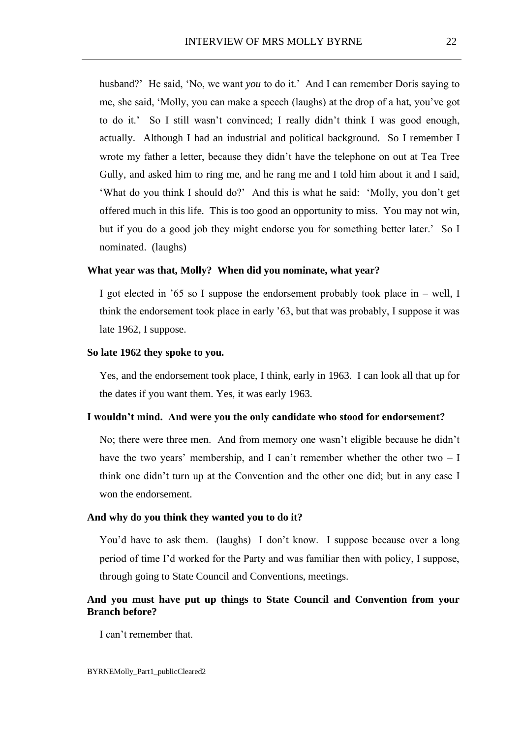husband?' He said, 'No, we want *you* to do it.' And I can remember Doris saying to me, she said, 'Molly, you can make a speech (laughs) at the drop of a hat, you've got to do it.' So I still wasn't convinced; I really didn't think I was good enough, actually. Although I had an industrial and political background. So I remember I wrote my father a letter, because they didn't have the telephone on out at Tea Tree Gully, and asked him to ring me, and he rang me and I told him about it and I said, 'What do you think I should do?' And this is what he said: 'Molly, you don't get offered much in this life. This is too good an opportunity to miss. You may not win, but if you do a good job they might endorse you for something better later.' So I nominated. (laughs)

#### **What year was that, Molly? When did you nominate, what year?**

I got elected in '65 so I suppose the endorsement probably took place in – well, I think the endorsement took place in early '63, but that was probably, I suppose it was late 1962, I suppose.

## **So late 1962 they spoke to you.**

Yes, and the endorsement took place, I think, early in 1963. I can look all that up for the dates if you want them. Yes, it was early 1963.

## **I wouldn't mind. And were you the only candidate who stood for endorsement?**

No; there were three men. And from memory one wasn't eligible because he didn't have the two years' membership, and I can't remember whether the other two – I think one didn't turn up at the Convention and the other one did; but in any case I won the endorsement.

## **And why do you think they wanted you to do it?**

You'd have to ask them. (laughs) I don't know. I suppose because over a long period of time I'd worked for the Party and was familiar then with policy, I suppose, through going to State Council and Conventions, meetings.

# **And you must have put up things to State Council and Convention from your Branch before?**

I can't remember that.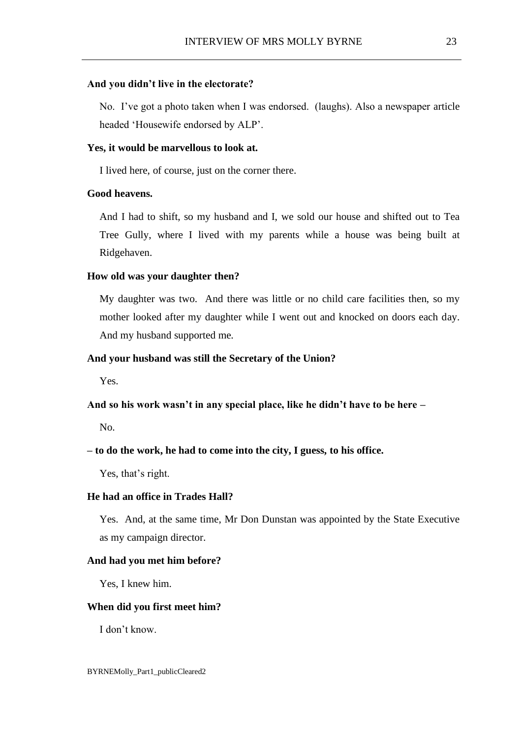### **And you didn't live in the electorate?**

No. I've got a photo taken when I was endorsed. (laughs). Also a newspaper article headed 'Housewife endorsed by ALP'.

### **Yes, it would be marvellous to look at.**

I lived here, of course, just on the corner there.

## **Good heavens.**

And I had to shift, so my husband and I, we sold our house and shifted out to Tea Tree Gully, where I lived with my parents while a house was being built at Ridgehaven.

## **How old was your daughter then?**

My daughter was two. And there was little or no child care facilities then, so my mother looked after my daughter while I went out and knocked on doors each day. And my husband supported me.

## **And your husband was still the Secretary of the Union?**

Yes.

**And so his work wasn't in any special place, like he didn't have to be here –**

No.

## **– to do the work, he had to come into the city, I guess, to his office.**

Yes, that's right.

## **He had an office in Trades Hall?**

Yes. And, at the same time, Mr Don Dunstan was appointed by the State Executive as my campaign director.

## **And had you met him before?**

Yes, I knew him.

#### **When did you first meet him?**

I don't know.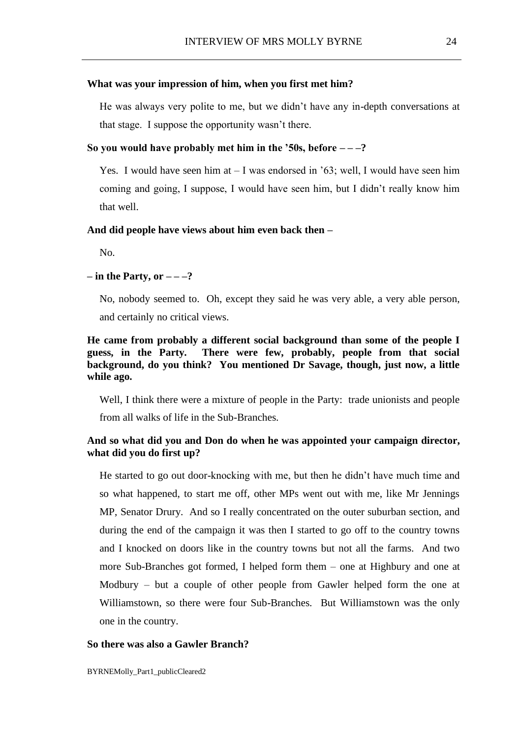## **What was your impression of him, when you first met him?**

He was always very polite to me, but we didn't have any in-depth conversations at that stage. I suppose the opportunity wasn't there.

### So you would have probably met him in the '50s, before  $-\frac{2}{3}$

Yes. I would have seen him at – I was endorsed in '63; well, I would have seen him coming and going, I suppose, I would have seen him, but I didn't really know him that well.

## **And did people have views about him even back then –**

No.

## **– in the Party, or – – –?**

No, nobody seemed to. Oh, except they said he was very able, a very able person, and certainly no critical views.

# **He came from probably a different social background than some of the people I guess, in the Party. There were few, probably, people from that social background, do you think? You mentioned Dr Savage, though, just now, a little while ago.**

Well, I think there were a mixture of people in the Party: trade unionists and people from all walks of life in the Sub-Branches.

# **And so what did you and Don do when he was appointed your campaign director, what did you do first up?**

He started to go out door-knocking with me, but then he didn't have much time and so what happened, to start me off, other MPs went out with me, like Mr Jennings MP, Senator Drury. And so I really concentrated on the outer suburban section, and during the end of the campaign it was then I started to go off to the country towns and I knocked on doors like in the country towns but not all the farms. And two more Sub-Branches got formed, I helped form them – one at Highbury and one at Modbury – but a couple of other people from Gawler helped form the one at Williamstown, so there were four Sub-Branches. But Williamstown was the only one in the country.

### **So there was also a Gawler Branch?**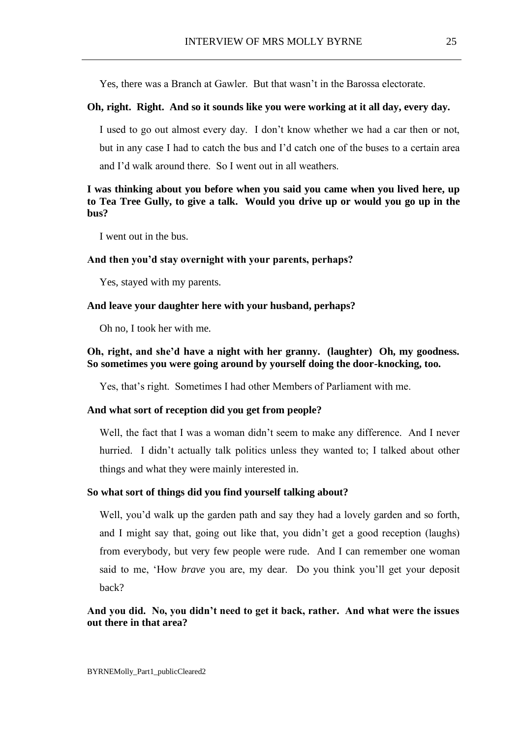Yes, there was a Branch at Gawler. But that wasn't in the Barossa electorate.

## **Oh, right. Right. And so it sounds like you were working at it all day, every day.**

I used to go out almost every day. I don't know whether we had a car then or not, but in any case I had to catch the bus and I'd catch one of the buses to a certain area and I'd walk around there. So I went out in all weathers.

# **I was thinking about you before when you said you came when you lived here, up to Tea Tree Gully, to give a talk. Would you drive up or would you go up in the bus?**

I went out in the bus.

#### **And then you'd stay overnight with your parents, perhaps?**

Yes, stayed with my parents.

## **And leave your daughter here with your husband, perhaps?**

Oh no, I took her with me.

# **Oh, right, and she'd have a night with her granny. (laughter) Oh, my goodness. So sometimes you were going around by yourself doing the door-knocking, too.**

Yes, that's right. Sometimes I had other Members of Parliament with me.

## **And what sort of reception did you get from people?**

Well, the fact that I was a woman didn't seem to make any difference. And I never hurried. I didn't actually talk politics unless they wanted to; I talked about other things and what they were mainly interested in.

#### **So what sort of things did you find yourself talking about?**

Well, you'd walk up the garden path and say they had a lovely garden and so forth, and I might say that, going out like that, you didn't get a good reception (laughs) from everybody, but very few people were rude. And I can remember one woman said to me, 'How *brave* you are, my dear. Do you think you'll get your deposit back?

# **And you did. No, you didn't need to get it back, rather. And what were the issues out there in that area?**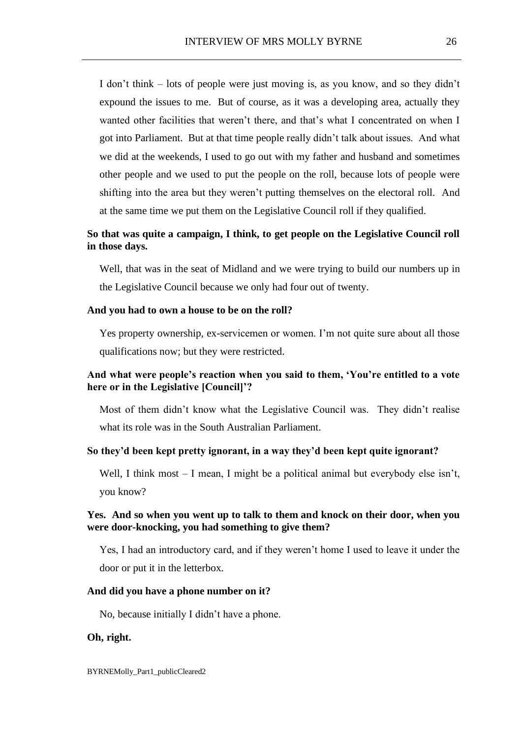I don't think – lots of people were just moving is, as you know, and so they didn't expound the issues to me. But of course, as it was a developing area, actually they wanted other facilities that weren't there, and that's what I concentrated on when I got into Parliament. But at that time people really didn't talk about issues. And what we did at the weekends, I used to go out with my father and husband and sometimes other people and we used to put the people on the roll, because lots of people were shifting into the area but they weren't putting themselves on the electoral roll. And at the same time we put them on the Legislative Council roll if they qualified.

# **So that was quite a campaign, I think, to get people on the Legislative Council roll in those days.**

Well, that was in the seat of Midland and we were trying to build our numbers up in the Legislative Council because we only had four out of twenty.

#### **And you had to own a house to be on the roll?**

Yes property ownership, ex-servicemen or women. I'm not quite sure about all those qualifications now; but they were restricted.

# **And what were people's reaction when you said to them, 'You're entitled to a vote here or in the Legislative [Council]'?**

Most of them didn't know what the Legislative Council was. They didn't realise what its role was in the South Australian Parliament.

## **So they'd been kept pretty ignorant, in a way they'd been kept quite ignorant?**

Well, I think most – I mean, I might be a political animal but everybody else isn't, you know?

## **Yes. And so when you went up to talk to them and knock on their door, when you were door-knocking, you had something to give them?**

Yes, I had an introductory card, and if they weren't home I used to leave it under the door or put it in the letterbox.

### **And did you have a phone number on it?**

No, because initially I didn't have a phone.

## **Oh, right.**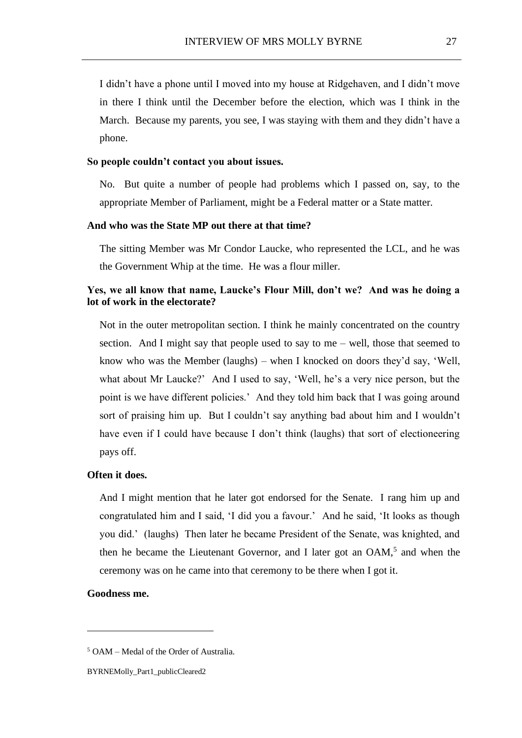I didn't have a phone until I moved into my house at Ridgehaven, and I didn't move in there I think until the December before the election, which was I think in the March. Because my parents, you see, I was staying with them and they didn't have a phone.

### **So people couldn't contact you about issues.**

No. But quite a number of people had problems which I passed on, say, to the appropriate Member of Parliament, might be a Federal matter or a State matter.

## **And who was the State MP out there at that time?**

The sitting Member was Mr Condor Laucke, who represented the LCL, and he was the Government Whip at the time. He was a flour miller.

# **Yes, we all know that name, Laucke's Flour Mill, don't we? And was he doing a lot of work in the electorate?**

Not in the outer metropolitan section. I think he mainly concentrated on the country section. And I might say that people used to say to me – well, those that seemed to know who was the Member (laughs) – when I knocked on doors they'd say, 'Well, what about Mr Laucke?' And I used to say, 'Well, he's a very nice person, but the point is we have different policies.' And they told him back that I was going around sort of praising him up. But I couldn't say anything bad about him and I wouldn't have even if I could have because I don't think (laughs) that sort of electioneering pays off.

## **Often it does.**

And I might mention that he later got endorsed for the Senate. I rang him up and congratulated him and I said, 'I did you a favour.' And he said, 'It looks as though you did.' (laughs) Then later he became President of the Senate, was knighted, and then he became the Lieutenant Governor, and I later got an OAM,<sup>5</sup> and when the ceremony was on he came into that ceremony to be there when I got it.

## **Goodness me.**

<sup>5</sup> OAM – Medal of the Order of Australia.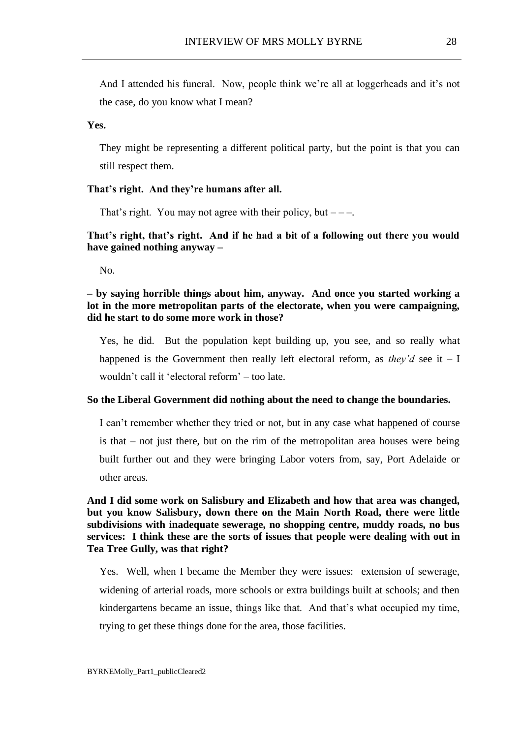And I attended his funeral. Now, people think we're all at loggerheads and it's not the case, do you know what I mean?

## **Yes.**

They might be representing a different political party, but the point is that you can still respect them.

## **That's right. And they're humans after all.**

That's right. You may not agree with their policy, but  $---$ .

# **That's right, that's right. And if he had a bit of a following out there you would have gained nothing anyway –**

No.

# **– by saying horrible things about him, anyway. And once you started working a lot in the more metropolitan parts of the electorate, when you were campaigning, did he start to do some more work in those?**

Yes, he did. But the population kept building up, you see, and so really what happened is the Government then really left electoral reform, as *they'd* see it  $- I$ wouldn't call it 'electoral reform' – too late.

## **So the Liberal Government did nothing about the need to change the boundaries.**

I can't remember whether they tried or not, but in any case what happened of course is that – not just there, but on the rim of the metropolitan area houses were being built further out and they were bringing Labor voters from, say, Port Adelaide or other areas.

# **And I did some work on Salisbury and Elizabeth and how that area was changed, but you know Salisbury, down there on the Main North Road, there were little subdivisions with inadequate sewerage, no shopping centre, muddy roads, no bus services: I think these are the sorts of issues that people were dealing with out in Tea Tree Gully, was that right?**

Yes. Well, when I became the Member they were issues: extension of sewerage, widening of arterial roads, more schools or extra buildings built at schools; and then kindergartens became an issue, things like that. And that's what occupied my time, trying to get these things done for the area, those facilities.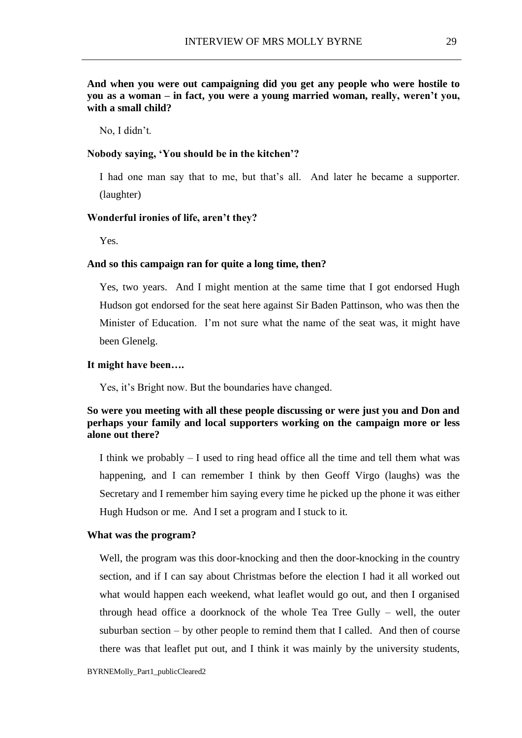**And when you were out campaigning did you get any people who were hostile to you as a woman – in fact, you were a young married woman, really, weren't you, with a small child?**

No, I didn't.

## **Nobody saying, 'You should be in the kitchen'?**

I had one man say that to me, but that's all. And later he became a supporter. (laughter)

### **Wonderful ironies of life, aren't they?**

Yes.

### **And so this campaign ran for quite a long time, then?**

Yes, two years. And I might mention at the same time that I got endorsed Hugh Hudson got endorsed for the seat here against Sir Baden Pattinson, who was then the Minister of Education. I'm not sure what the name of the seat was, it might have been Glenelg.

## **It might have been….**

Yes, it's Bright now. But the boundaries have changed.

## **So were you meeting with all these people discussing or were just you and Don and perhaps your family and local supporters working on the campaign more or less alone out there?**

I think we probably – I used to ring head office all the time and tell them what was happening, and I can remember I think by then Geoff Virgo (laughs) was the Secretary and I remember him saying every time he picked up the phone it was either Hugh Hudson or me. And I set a program and I stuck to it.

### **What was the program?**

Well, the program was this door-knocking and then the door-knocking in the country section, and if I can say about Christmas before the election I had it all worked out what would happen each weekend, what leaflet would go out, and then I organised through head office a doorknock of the whole Tea Tree Gully – well, the outer suburban section  $-$  by other people to remind them that I called. And then of course there was that leaflet put out, and I think it was mainly by the university students,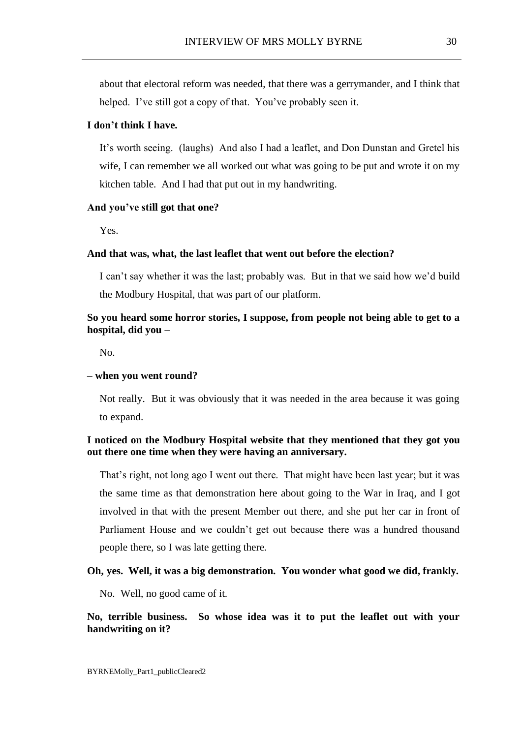about that electoral reform was needed, that there was a gerrymander, and I think that helped. I've still got a copy of that. You've probably seen it.

### **I don't think I have.**

It's worth seeing. (laughs) And also I had a leaflet, and Don Dunstan and Gretel his wife, I can remember we all worked out what was going to be put and wrote it on my kitchen table. And I had that put out in my handwriting.

### **And you've still got that one?**

Yes.

## **And that was, what, the last leaflet that went out before the election?**

I can't say whether it was the last; probably was. But in that we said how we'd build the Modbury Hospital, that was part of our platform.

# **So you heard some horror stories, I suppose, from people not being able to get to a hospital, did you –**

No.

#### **– when you went round?**

Not really. But it was obviously that it was needed in the area because it was going to expand.

# **I noticed on the Modbury Hospital website that they mentioned that they got you out there one time when they were having an anniversary.**

That's right, not long ago I went out there. That might have been last year; but it was the same time as that demonstration here about going to the War in Iraq, and I got involved in that with the present Member out there, and she put her car in front of Parliament House and we couldn't get out because there was a hundred thousand people there, so I was late getting there.

## **Oh, yes. Well, it was a big demonstration. You wonder what good we did, frankly.**

No. Well, no good came of it.

## **No, terrible business. So whose idea was it to put the leaflet out with your handwriting on it?**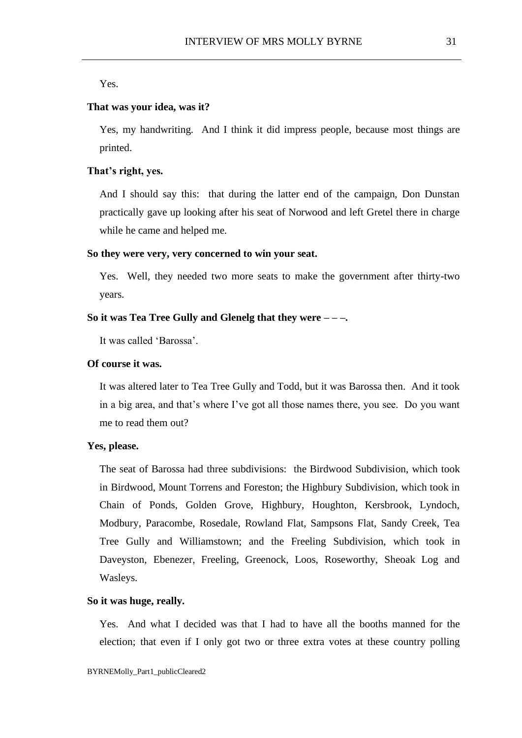Yes.

## **That was your idea, was it?**

Yes, my handwriting. And I think it did impress people, because most things are printed.

## **That's right, yes.**

And I should say this: that during the latter end of the campaign, Don Dunstan practically gave up looking after his seat of Norwood and left Gretel there in charge while he came and helped me.

## **So they were very, very concerned to win your seat.**

Yes. Well, they needed two more seats to make the government after thirty-two years.

### **So it was Tea Tree Gully and Glenelg that they were – – –.**

It was called 'Barossa'.

### **Of course it was.**

It was altered later to Tea Tree Gully and Todd, but it was Barossa then. And it took in a big area, and that's where I've got all those names there, you see. Do you want me to read them out?

### **Yes, please.**

The seat of Barossa had three subdivisions: the Birdwood Subdivision, which took in Birdwood, Mount Torrens and Foreston; the Highbury Subdivision, which took in Chain of Ponds, Golden Grove, Highbury, Houghton, Kersbrook, Lyndoch, Modbury, Paracombe, Rosedale, Rowland Flat, Sampsons Flat, Sandy Creek, Tea Tree Gully and Williamstown; and the Freeling Subdivision, which took in Daveyston, Ebenezer, Freeling, Greenock, Loos, Roseworthy, Sheoak Log and Wasleys.

## **So it was huge, really.**

Yes. And what I decided was that I had to have all the booths manned for the election; that even if I only got two or three extra votes at these country polling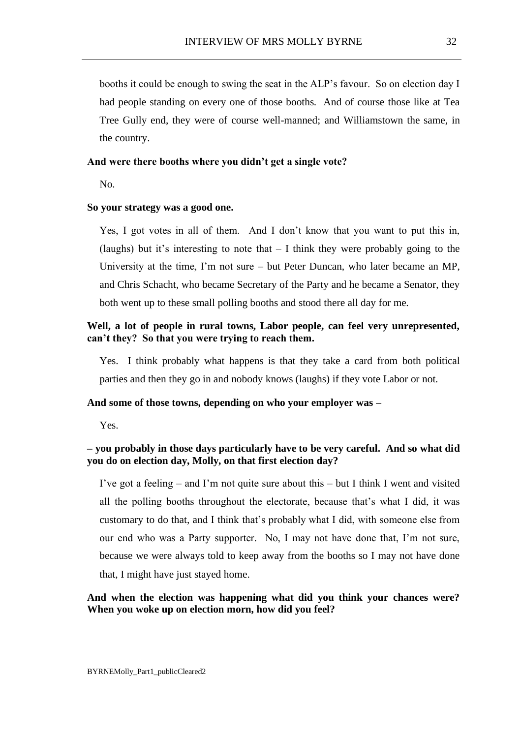booths it could be enough to swing the seat in the ALP's favour. So on election day I had people standing on every one of those booths. And of course those like at Tea Tree Gully end, they were of course well-manned; and Williamstown the same, in the country.

## **And were there booths where you didn't get a single vote?**

No.

## **So your strategy was a good one.**

Yes, I got votes in all of them. And I don't know that you want to put this in, (laughs) but it's interesting to note that  $-1$  think they were probably going to the University at the time, I'm not sure – but Peter Duncan, who later became an MP, and Chris Schacht, who became Secretary of the Party and he became a Senator, they both went up to these small polling booths and stood there all day for me.

# **Well, a lot of people in rural towns, Labor people, can feel very unrepresented, can't they? So that you were trying to reach them.**

Yes. I think probably what happens is that they take a card from both political parties and then they go in and nobody knows (laughs) if they vote Labor or not.

## **And some of those towns, depending on who your employer was –**

Yes.

# **– you probably in those days particularly have to be very careful. And so what did you do on election day, Molly, on that first election day?**

I've got a feeling – and I'm not quite sure about this – but I think I went and visited all the polling booths throughout the electorate, because that's what I did, it was customary to do that, and I think that's probably what I did, with someone else from our end who was a Party supporter. No, I may not have done that, I'm not sure, because we were always told to keep away from the booths so I may not have done that, I might have just stayed home.

# **And when the election was happening what did you think your chances were? When you woke up on election morn, how did you feel?**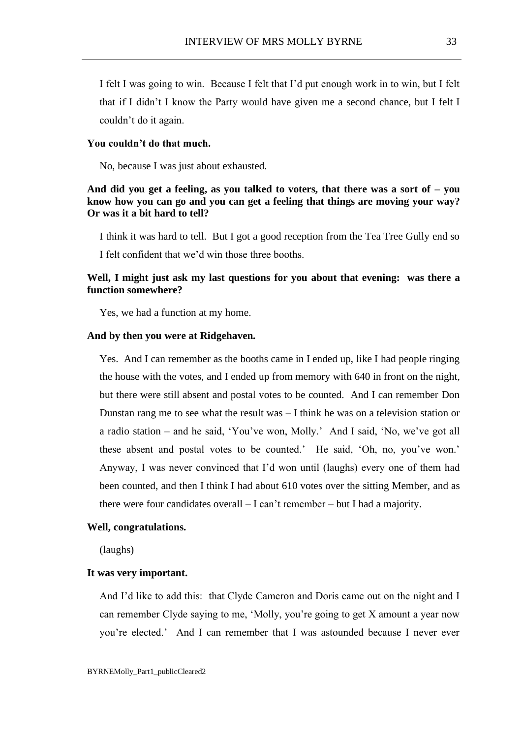I felt I was going to win. Because I felt that I'd put enough work in to win, but I felt that if I didn't I know the Party would have given me a second chance, but I felt I couldn't do it again.

### **You couldn't do that much.**

No, because I was just about exhausted.

# **And did you get a feeling, as you talked to voters, that there was a sort of – you know how you can go and you can get a feeling that things are moving your way? Or was it a bit hard to tell?**

I think it was hard to tell. But I got a good reception from the Tea Tree Gully end so I felt confident that we'd win those three booths.

# **Well, I might just ask my last questions for you about that evening: was there a function somewhere?**

Yes, we had a function at my home.

### **And by then you were at Ridgehaven.**

Yes. And I can remember as the booths came in I ended up, like I had people ringing the house with the votes, and I ended up from memory with 640 in front on the night, but there were still absent and postal votes to be counted. And I can remember Don Dunstan rang me to see what the result was – I think he was on a television station or a radio station – and he said, 'You've won, Molly.' And I said, 'No, we've got all these absent and postal votes to be counted.' He said, 'Oh, no, you've won.' Anyway, I was never convinced that I'd won until (laughs) every one of them had been counted, and then I think I had about 610 votes over the sitting Member, and as there were four candidates overall – I can't remember – but I had a majority.

### **Well, congratulations.**

(laughs)

### **It was very important.**

And I'd like to add this: that Clyde Cameron and Doris came out on the night and I can remember Clyde saying to me, 'Molly, you're going to get X amount a year now you're elected.' And I can remember that I was astounded because I never ever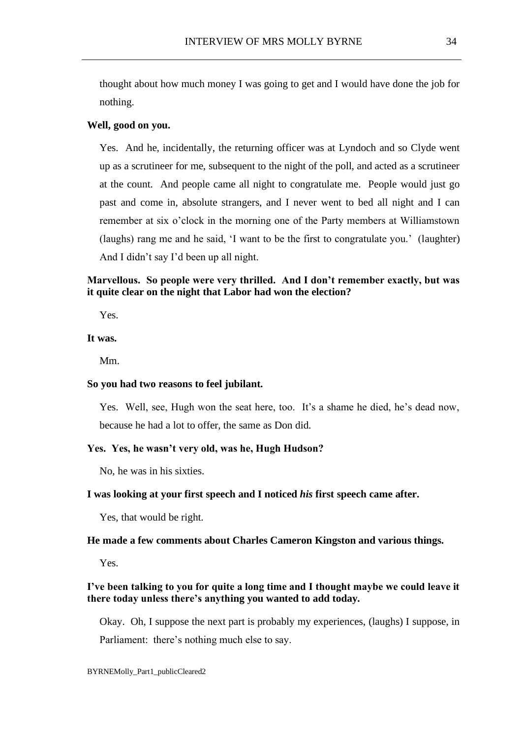thought about how much money I was going to get and I would have done the job for nothing.

#### **Well, good on you.**

Yes. And he, incidentally, the returning officer was at Lyndoch and so Clyde went up as a scrutineer for me, subsequent to the night of the poll, and acted as a scrutineer at the count. And people came all night to congratulate me. People would just go past and come in, absolute strangers, and I never went to bed all night and I can remember at six o'clock in the morning one of the Party members at Williamstown (laughs) rang me and he said, 'I want to be the first to congratulate you.' (laughter) And I didn't say I'd been up all night.

# **Marvellous. So people were very thrilled. And I don't remember exactly, but was it quite clear on the night that Labor had won the election?**

Yes.

# **It was.**

Mm.

#### **So you had two reasons to feel jubilant.**

Yes. Well, see, Hugh won the seat here, too. It's a shame he died, he's dead now, because he had a lot to offer, the same as Don did.

## **Yes. Yes, he wasn't very old, was he, Hugh Hudson?**

No, he was in his sixties.

## **I was looking at your first speech and I noticed** *his* **first speech came after.**

Yes, that would be right.

## **He made a few comments about Charles Cameron Kingston and various things.**

Yes.

## **I've been talking to you for quite a long time and I thought maybe we could leave it there today unless there's anything you wanted to add today.**

Okay. Oh, I suppose the next part is probably my experiences, (laughs) I suppose, in Parliament: there's nothing much else to say.